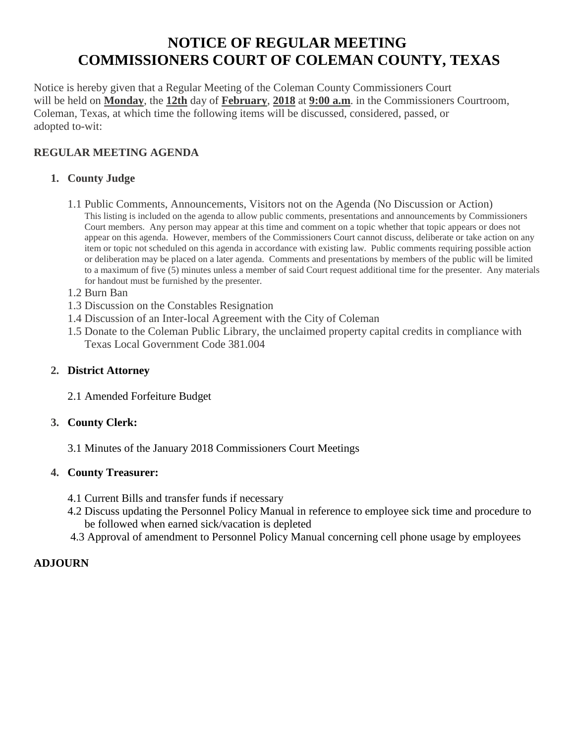# **NOTICE OF REGULAR MEETING COMMISSIONERS COURT OF COLEMAN COUNTY, TEXAS**

Notice is hereby given that a Regular Meeting of the Coleman County Commissioners Court will be held on **Monday**, the **12th** day of **February**, **2018** at **9:00 a.m**. in the Commissioners Courtroom, Coleman, Texas, at which time the following items will be discussed, considered, passed, or adopted to-wit:

# **REGULAR MEETING AGENDA**

## **1. County Judge**

- 1.1 Public Comments, Announcements, Visitors not on the Agenda (No Discussion or Action) This listing is included on the agenda to allow public comments, presentations and announcements by Commissioners Court members. Any person may appear at this time and comment on a topic whether that topic appears or does not appear on this agenda. However, members of the Commissioners Court cannot discuss, deliberate or take action on any item or topic not scheduled on this agenda in accordance with existing law. Public comments requiring possible action or deliberation may be placed on a later agenda. Comments and presentations by members of the public will be limited to a maximum of five (5) minutes unless a member of said Court request additional time for the presenter. Any materials for handout must be furnished by the presenter.
- 1.2 Burn Ban
- 1.3 Discussion on the Constables Resignation
- 1.4 Discussion of an Inter-local Agreement with the City of Coleman
- 1.5 Donate to the Coleman Public Library, the unclaimed property capital credits in compliance with Texas Local Government Code 381.004

## **2. District Attorney**

2.1 Amended Forfeiture Budget

## **3. County Clerk:**

3.1 Minutes of the January 2018 Commissioners Court Meetings

## **4. County Treasurer:**

- 4.1 Current Bills and transfer funds if necessary
- 4.2 Discuss updating the Personnel Policy Manual in reference to employee sick time and procedure to be followed when earned sick/vacation is depleted
- 4.3 Approval of amendment to Personnel Policy Manual concerning cell phone usage by employees

## **ADJOURN**